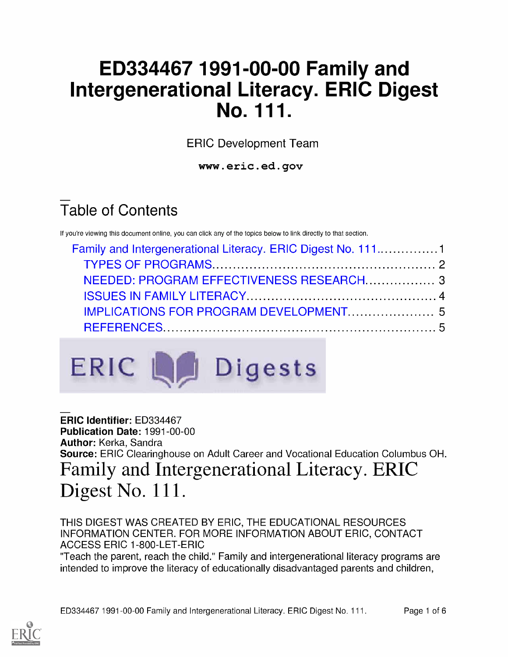# ED334467 1991-00-00 Family and Intergenerational Literacy. ERIC Digest No. 111.

ERIC Development Team

www.eric.ed.gov

# Table of Contents

If you're viewing this document online, you can click any of the topics below to link directly to that section.

| Family and Intergenerational Literacy. ERIC Digest No. 1111 |  |
|-------------------------------------------------------------|--|
|                                                             |  |
| NEEDED: PROGRAM EFFECTIVENESS RESEARCH 3                    |  |
|                                                             |  |
|                                                             |  |
|                                                             |  |



ERIC Identifier: ED334467 Publication Date: 1991-00-00 Author: Kerka, Sandra Source: ERIC Clearinghouse on Adult Career and Vocational Education Columbus OH. Family and Intergenerational Literacy. ERIC Digest No. 111.

THIS DIGEST WAS CREATED BY ERIC, THE EDUCATIONAL RESOURCES INFORMATION CENTER. FOR MORE INFORMATION ABOUT ERIC, CONTACT ACCESS ERIC 1-800-LET-ERIC

"Teach the parent, reach the child." Family and intergenerational literacy programs are intended to improve the literacy of educationally disadvantaged parents and children,

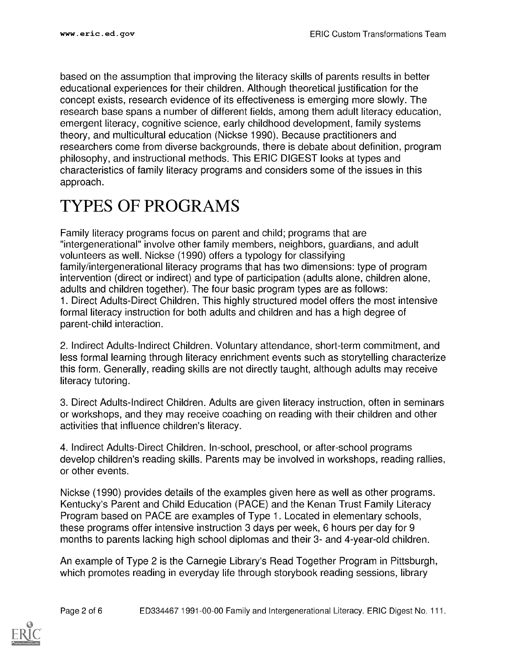based on the assumption that improving the literacy skills of parents results in better educational experiences for their children. Although theoretical justification for the concept exists, research evidence of its effectiveness is emerging more slowly. The research base spans a number of different fields, among them adult literacy education, emergent literacy, cognitive science, early childhood development, family systems theory, and multicultural education (Nickse 1990). Because practitioners and researchers come from diverse backgrounds, there is debate about definition, program philosophy, and instructional methods. This ERIC DIGEST looks at types and characteristics of family literacy programs and considers some of the issues in this approach.

#### TYPES OF PROGRAMS

Family literacy programs focus on parent and child; programs that are "intergenerational" involve other family members, neighbors, guardians, and adult volunteers as well. Nickse (1990) offers a typology for classifying family/intergenerational literacy programs that has two dimensions: type of program intervention (direct or indirect) and type of participation (adults alone, children alone, adults and children together). The four basic program types are as follows: 1. Direct Adults-Direct Children. This highly structured model offers the most intensive formal literacy instruction for both adults and children and has a high degree of parent-child interaction.

2. Indirect Adults-Indirect Children. Voluntary attendance, short-term commitment, and less formal learning through literacy enrichment events such as storytelling characterize this form. Generally, reading skills are not directly taught, although adults may receive literacy tutoring.

3. Direct Adults-Indirect Children. Adults are given literacy instruction, often in seminars or workshops, and they may receive coaching on reading with their children and other activities that influence children's literacy.

4. Indirect Adults-Direct Children. In-school, preschool, or after-school programs develop children's reading skills. Parents may be involved in workshops, reading rallies, or other events.

Nickse (1990) provides details of the examples given here as well as other programs. Kentucky's Parent and Child Education (PACE) and the Kenan Trust Family Literacy Program based on PACE are examples of Type 1. Located in elementary schools, these programs offer intensive instruction 3 days per week, 6 hours per day for 9 months to parents lacking high school diplomas and their 3- and 4-year-old children.

An example of Type 2 is the Carnegie Library's Read Together Program in Pittsburgh, which promotes reading in everyday life through storybook reading sessions, library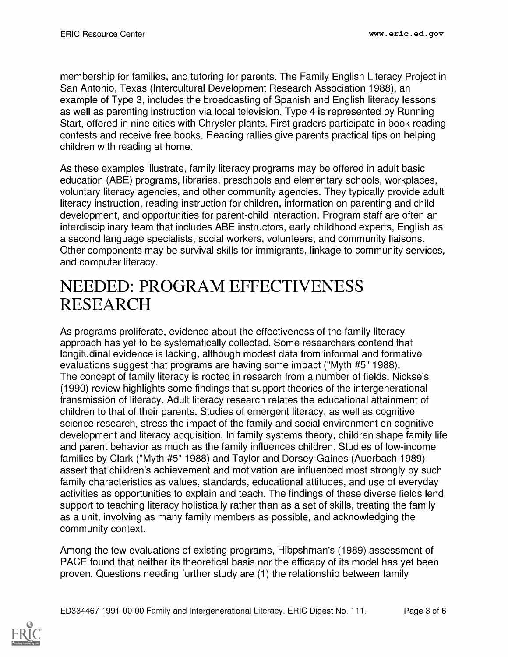membership for families, and tutoring for parents. The Family English Literacy Project in San Antonio, Texas (Intercultural Development Research Association 1988), an example of Type 3, includes the broadcasting of Spanish and English literacy lessons as well as parenting instruction via local television. Type 4 is represented by Running Start, offered in nine cities with Chrysler plants. First graders participate in book reading contests and receive free books. Reading rallies give parents practical tips on helping children with reading at home.

As these examples illustrate, family literacy programs may be offered in adult basic education (ABE) programs, libraries, preschools and elementary schools, workplaces, voluntary literacy agencies, and other community agencies. They typically provide adult literacy instruction, reading instruction for children, information on parenting and child development, and opportunities for parent-child interaction. Program staff are often an interdisciplinary team that includes ABE instructors, early childhood experts, English as a second language specialists, social workers, volunteers, and community liaisons. Other components may be survival skills for immigrants, linkage to community services, and computer literacy.

#### NEEDED: PROGRAM EFFECTIVENESS RESEARCH

As programs proliferate, evidence about the effectiveness of the family literacy approach has yet to be systematically collected. Some researchers contend that longitudinal evidence is lacking, although modest data from informal and formative evaluations suggest that programs are having some impact ("Myth #5" 1988). The concept of family literacy is rooted in research from a number of fields. Nickse's (1990) review highlights some findings that support theories of the intergenerational transmission of literacy. Adult literacy research relates the educational attainment of children to that of their parents. Studies of emergent literacy, as well as cognitive science research, stress the impact of the family and social environment on cognitive development and literacy acquisition. In family systems theory, children shape family life and parent behavior as much as the family influences children. Studies of low-income families by Clark ("Myth #5" 1988) and Taylor and Dorsey-Gaines (Auerbach 1989) assert that children's achievement and motivation are influenced most strongly by such family characteristics as values, standards, educational attitudes, and use of everyday activities as opportunities to explain and teach. The findings of these diverse fields lend support to teaching literacy holistically rather than as a set of skills, treating the family as a unit, involving as many family members as possible, and acknowledging the community context.

Among the few evaluations of existing programs, Hibpshman's (1989) assessment of PACE found that neither its theoretical basis nor the efficacy of its model has yet been proven. Questions needing further study are (1) the relationship between family

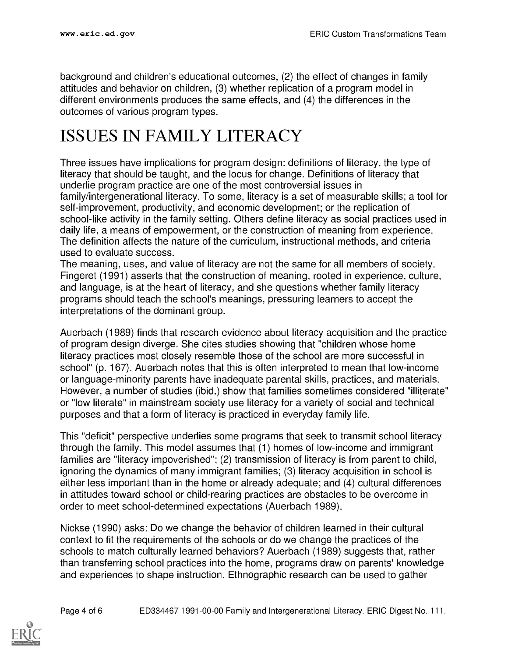background and children's educational outcomes, (2) the effect of changes in family attitudes and behavior on children, (3) whether replication of a program model in different environments produces the same effects, and (4) the differences in the outcomes of various program types.

## ISSUES IN FAMILY LITERACY

Three issues have implications for program design: definitions of literacy, the type of literacy that should be taught, and the locus for change. Definitions of literacy that underlie program practice are one of the most controversial issues in family/intergenerational literacy. To some, literacy is a set of measurable skills; a tool for self-improvement, productivity, and economic development; or the replication of school-like activity in the family setting. Others define literacy as social practices used in daily life, a means of empowerment, or the construction of meaning from experience. The definition affects the nature of the curriculum, instructional methods, and criteria used to evaluate success.

The meaning, uses, and value of literacy are not the same for all members of society. Fingeret (1991) asserts that the construction of meaning, rooted in experience, culture, and language, is at the heart of literacy, and she questions whether family literacy programs should teach the school's meanings, pressuring learners to accept the interpretations of the dominant group.

Auerbach (1989) finds that research evidence about literacy acquisition and the practice of program design diverge. She cites studies showing that "children whose home literacy practices most closely resemble those of the school are more successful in school" (p. 167). Auerbach notes that this is often interpreted to mean that low-income or language-minority parents have inadequate parental skills, practices, and materials. However, a number of studies (ibid.) show that families sometimes considered "illiterate" or "low literate" in mainstream society use literacy for a variety of social and technical purposes and that a form of literacy is practiced in everyday family life.

This "deficit" perspective underlies some programs that seek to transmit school literacy through the family. This model assumes that (1) homes of low-income and immigrant families are "literacy impoverished"; (2) transmission of literacy is from parent to child, ignoring the dynamics of many immigrant families; (3) literacy acquisition in school is either less important than in the home or already adequate; and (4) cultural differences in attitudes toward school or child-rearing practices are obstacles to be overcome in order to meet school-determined expectations (Auerbach 1989).

Nickse (1990) asks: Do we change the behavior of children learned in their cultural context to fit the requirements of the schools or do we change the practices of the schools to match culturally learned behaviors? Auerbach (1989) suggests that, rather than transferring school practices into the home, programs draw on parents' knowledge and experiences to shape instruction. Ethnographic research can be used to gather

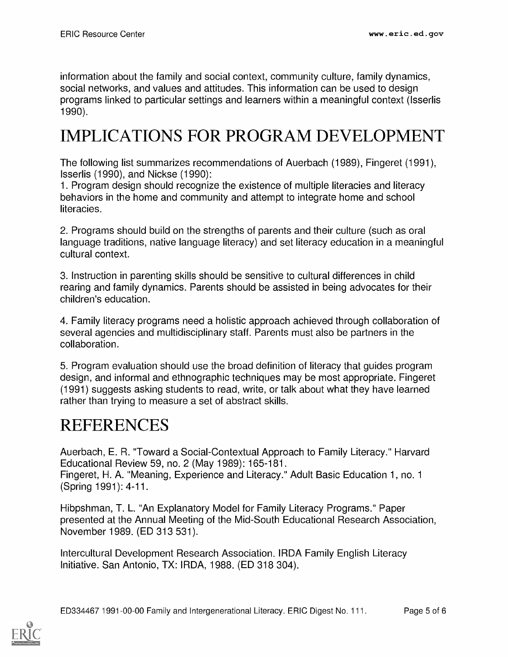information about the family and social context, community culture, family dynamics, social networks, and values and attitudes. This information can be used to design programs linked to particular settings and learners within a meaningful context (Isserlis 1990).

## IMPLICATIONS FOR PROGRAM DEVELOPMENT

The following list summarizes recommendations of Auerbach (1989), Fingeret (1991), Isserlis (1990), and Nickse (1990):

1. Program design should recognize the existence of multiple literacies and literacy behaviors in the home and community and attempt to integrate home and school literacies.

2. Programs should build on the strengths of parents and their culture (such as oral language traditions, native language literacy) and set literacy education in a meaningful cultural context.

3. Instruction in parenting skills should be sensitive to cultural differences in child rearing and family dynamics. Parents should be assisted in being advocates for their children's education.

4. Family literacy programs need a holistic approach achieved through collaboration of several agencies and multidisciplinary staff. Parents must also be partners in the collaboration.

5. Program evaluation should use the broad definition of literacy that guides program design, and informal and ethnographic techniques may be most appropriate. Fingeret (1991) suggests asking students to read, write, or talk about what they have learned rather than trying to measure a set of abstract skills.

#### **REFERENCES**

Auerbach, E. R. "Toward a Social-Contextual Approach to Family Literacy." Harvard Educational Review 59, no. 2 (May 1989): 165-181. Fingeret, H. A. "Meaning, Experience and Literacy." Adult Basic Education 1, no. 1 (Spring 1991): 4-11.

Hibpshman, T. L. "An Explanatory Model for Family Literacy Programs." Paper presented at the Annual Meeting of the Mid-South Educational Research Association, November 1989. (ED 313 531).

Intercultural Development Research Association. IRDA Family English Literacy Initiative. San Antonio, TX: IRDA, 1988. (ED 318 304).